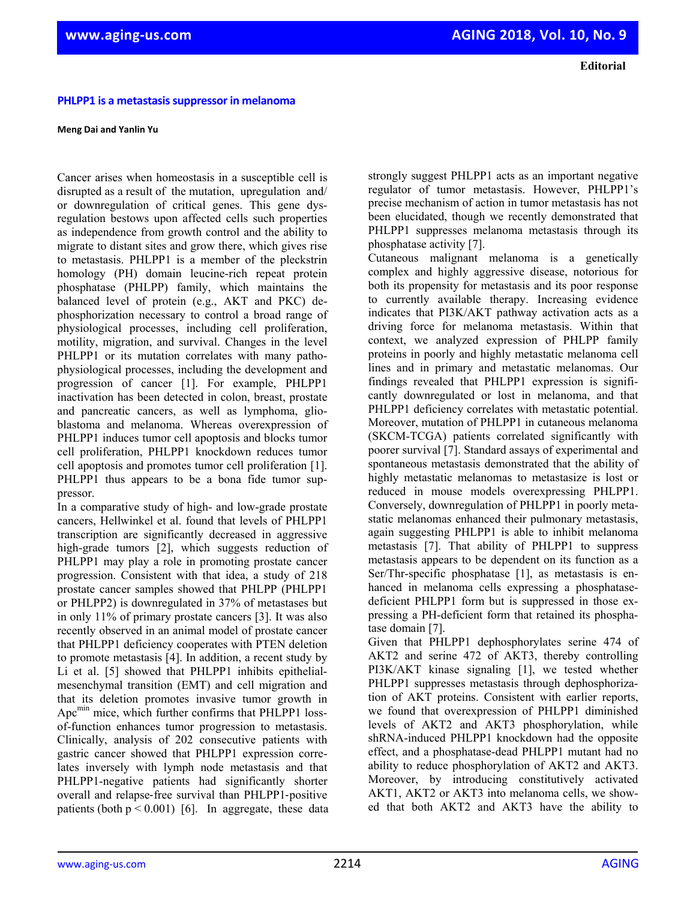**PHLPP1** is a metastasis suppressor in melanoma

**Meng Dai and Yanlin Yu**

Cancer arises when homeostasis in a susceptible cell is disrupted as a result of the mutation, upregulation and/ or downregulation of critical genes. This gene dysregulation bestows upon affected cells such properties as independence from growth control and the ability to migrate to distant sites and grow there, which gives rise to metastasis. PHLPP1 is a member of the pleckstrin homology (PH) domain leucine-rich repeat protein phosphatase (PHLPP) family, which maintains the balanced level of protein (e.g., AKT and PKC) dephosphorization necessary to control a broad range of physiological processes, including cell proliferation, motility, migration, and survival. Changes in the level PHLPP1 or its mutation correlates with many pathophysiological processes, including the development and progression of cancer [1]. For example, PHLPP1 inactivation has been detected in colon, breast, prostate and pancreatic cancers, as well as lymphoma, glioblastoma and melanoma. Whereas overexpression of PHLPP1 induces tumor cell apoptosis and blocks tumor cell proliferation, PHLPP1 knockdown reduces tumor cell apoptosis and promotes tumor cell proliferation [1]. PHLPP1 thus appears to be a bona fide tumor suppressor.

In a comparative study of high- and low-grade prostate cancers, Hellwinkel et al. found that levels of PHLPP1 transcription are significantly decreased in aggressive high-grade tumors [2], which suggests reduction of PHLPP1 may play a role in promoting prostate cancer progression. Consistent with that idea, a study of 218 prostate cancer samples showed that PHLPP (PHLPP1 or PHLPP2) is downregulated in 37% of metastases but in only 11% of primary prostate cancers [3]. It was also recently observed in an animal model of prostate cancer that PHLPP1 deficiency cooperates with PTEN deletion to promote metastasis [4]. In addition, a recent study by Li et al. [5] showed that PHLPP1 inhibits epithelialmesenchymal transition (EMT) and cell migration and that its deletion promotes invasive tumor growth in Apc<sup>min</sup> mice, which further confirms that PHLPP1 lossof-function enhances tumor progression to metastasis. Clinically, analysis of 202 consecutive patients with gastric cancer showed that PHLPP1 expression correlates inversely with lymph node metastasis and that PHLPP1-negative patients had significantly shorter overall and relapse‐free survival than PHLPP1‐positive patients (both  $p < 0.001$ ) [6]. In aggregate, these data

strongly suggest PHLPP1 acts as an important negative regulator of tumor metastasis. However, PHLPP1's precise mechanism of action in tumor metastasis has not been elucidated, though we recently demonstrated that PHLPP1 suppresses melanoma metastasis through its phosphatase activity [7].

Cutaneous malignant melanoma is a genetically complex and highly aggressive disease, notorious for both its propensity for metastasis and its poor response to currently available therapy. Increasing evidence indicates that PI3K/AKT pathway activation acts as a driving force for melanoma metastasis. Within that context, we analyzed expression of PHLPP family proteins in poorly and highly metastatic melanoma cell lines and in primary and metastatic melanomas. Our findings revealed that PHLPP1 expression is significantly downregulated or lost in melanoma, and that PHLPP1 deficiency correlates with metastatic potential. Moreover, mutation of PHLPP1 in cutaneous melanoma (SKCM-TCGA) patients correlated significantly with poorer survival [7]. Standard assays of experimental and spontaneous metastasis demonstrated that the ability of highly metastatic melanomas to metastasize is lost or reduced in mouse models overexpressing PHLPP1. Conversely, downregulation of PHLPP1 in poorly metastatic melanomas enhanced their pulmonary metastasis, again suggesting PHLPP1 is able to inhibit melanoma metastasis [7]. That ability of PHLPP1 to suppress metastasis appears to be dependent on its function as a Ser/Thr-specific phosphatase [1], as metastasis is enhanced in melanoma cells expressing a phosphatasedeficient PHLPP1 form but is suppressed in those expressing a PH-deficient form that retained its phosphatase domain [7].

Given that PHLPP1 dephosphorylates serine 474 of AKT2 and serine 472 of AKT3, thereby controlling PI3K/AKT kinase signaling [1], we tested whether PHLPP1 suppresses metastasis through dephosphorization of AKT proteins. Consistent with earlier reports, we found that overexpression of PHLPP1 diminished levels of AKT2 and AKT3 phosphorylation, while shRNA-induced PHLPP1 knockdown had the opposite effect, and a phosphatase-dead PHLPP1 mutant had no ability to reduce phosphorylation of AKT2 and AKT3. Moreover, by introducing constitutively activated AKT1, AKT2 or AKT3 into melanoma cells, we showed that both AKT2 and AKT3 have the ability to